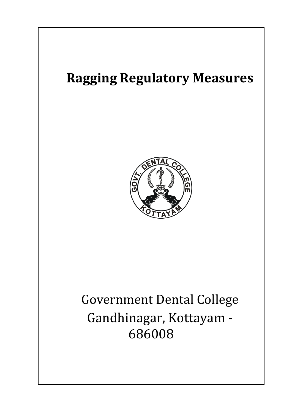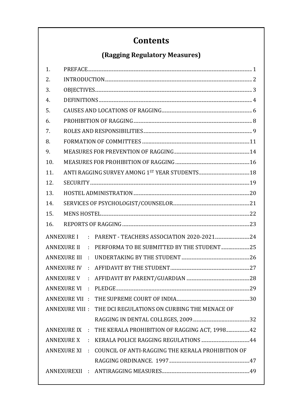# **Contents**

# (Ragging Regulatory Measures)

| 1.                  |                                                                 |  |
|---------------------|-----------------------------------------------------------------|--|
| 2.                  |                                                                 |  |
| 3.                  |                                                                 |  |
| 4.                  |                                                                 |  |
| 5.                  |                                                                 |  |
| 6.                  |                                                                 |  |
| 7.                  |                                                                 |  |
| 8.                  |                                                                 |  |
| 9.                  |                                                                 |  |
| 10.                 |                                                                 |  |
| 11.                 |                                                                 |  |
| 12.                 |                                                                 |  |
| 13.                 |                                                                 |  |
| 14.                 |                                                                 |  |
| 15.                 |                                                                 |  |
| 16.                 |                                                                 |  |
| <b>ANNEXURE I</b>   | ÷.                                                              |  |
| <b>ANNEXURE II</b>  | PERFORMA TO BE SUBMITTED BY THE STUDENT 25<br>$\epsilon$        |  |
| <b>ANNEXURE III</b> | ¥,                                                              |  |
| <b>ANNEXURE IV</b>  | $\bullet$                                                       |  |
| <b>ANNEXURE V</b>   | ÷.                                                              |  |
|                     |                                                                 |  |
|                     | ANNEXURE VII :                                                  |  |
|                     | ANNEXURE VIII :<br>THE DCI REGULATIONS ON CURBING THE MENACE OF |  |
|                     |                                                                 |  |
| <b>ANNEXURE IX</b>  | THE KERALA PROHIBITION OF RAGGING ACT, 1998 42<br>$\mathcal{L}$ |  |
| <b>ANNEXURE X</b>   | ÷                                                               |  |
| <b>ANNEXURE XI</b>  | COUNCIL OF ANTI-RAGGING THE KERALA PROHIBITION OF<br>$\bullet$  |  |
|                     |                                                                 |  |
|                     | ANNEXUREXII :                                                   |  |
|                     |                                                                 |  |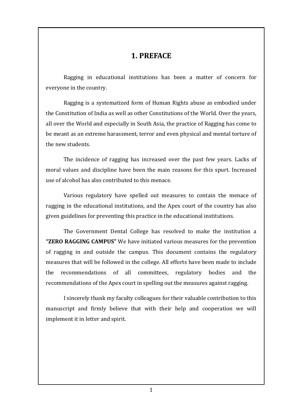### **1. PREFACE**

<span id="page-2-0"></span>Ragging in educational institutions has been a matter of concern for everyone in the country.

Ragging is a systematized form of Human Rights abuse as embodied under the Constitution of India as well as other Constitutions of the World. Over the years, all over the World and especially in South Asia, the practice of Ragging has come to be meant as an extreme harassment, terror and even physical and mental torture of the new students.

The incidence of ragging has increased over the past few years. Lacks of moral values and discipline have been the main reasons for this spurt. Increased use of alcohol has also contributed to this menace.

Various regulatory have spelled out measures to contain the menace of ragging in the educational institutions, and the Apex court of the country has also given guidelines for preventing this practice in the educational institutions.

The Government Dental College has resolved to make the institution a **"ZERO RAGGING CAMPUS"** We have initiated various measures for the prevention of ragging in and outside the campus. This document contains the regulatory measures that will be followed in the college. All efforts have been made to include the recommendations of all committees, regulatory bodies and the recommendations of the Apex court in spelling out the measures against ragging.

I sincerely thank my faculty colleagues for their valuable contribution to this manuscript and firmly believe that with their help and cooperation we will implement it in letter and spirit.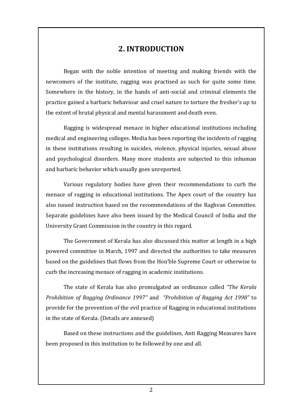## **2. INTRODUCTION**

<span id="page-3-0"></span>Began with the noble intention of meeting and making friends with the newcomers of the institute, ragging was practised as such for quite some time. Somewhere in the history, in the hands of anti-social and criminal elements the practice gained a barbaric behaviour and cruel nature to torture the fresher's up to the extent of brutal physical and mental harassment and death even.

Ragging is widespread menace in higher educational institutions including medical and engineering colleges. Media has been reporting the incidents of ragging in these institutions resulting in suicides, violence, physical injuries, sexual abuse and psychological disorders. Many more students are subjected to this inhuman and barbaric behavior which usually goes unreported.

Various regulatory bodies have given their recommendations to curb the menace of ragging in educational institutions. The Apex court of the country has also issued instruction based on the recommendations of the Raghvan Committee. Separate guidelines have also been issued by the Medical Council of India and the University Grant Commission in the country in this regard.

The Government of Kerala has also discussed this matter at length in a high powered committee in March, 1997 and directed the authorities to take measures based on the guidelines that flows from the Hon'ble Supreme Court or otherwise to curb the increasing menace of ragging in academic institutions.

The state of Kerala has also promulgated an ordinance called *"The Kerala Prohibition of Ragging Ordinance 1997"* and *"Prohibition of Ragging Act 1998"* to provide for the prevention of the evil practice of Ragging in educational institutions in the state of Kerala. (Details are annexed)

Based on these instructions and the guidelines, Anti Ragging Measures have been proposed in this institution to be followed by one and all.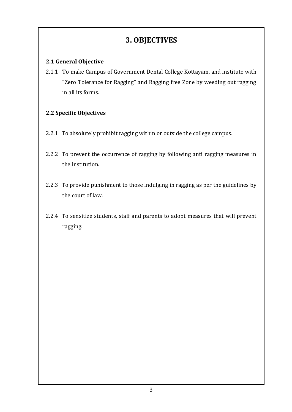## **3. OBJECTIVES**

#### <span id="page-4-0"></span>**2.1 General Objective**

2.1.1 To make Campus of Government Dental College Kottayam, and institute with "Zero Tolerance for Ragging" and Ragging free Zone by weeding out ragging in all its forms.

#### **2.2 Specific Objectives**

- 2.2.1 To absolutely prohibit ragging within or outside the college campus.
- 2.2.2 To prevent the occurrence of ragging by following anti ragging measures in the institution.
- 2.2.3 To provide punishment to those indulging in ragging as per the guidelines by the court of law.
- 2.2.4 To sensitize students, staff and parents to adopt measures that will prevent ragging.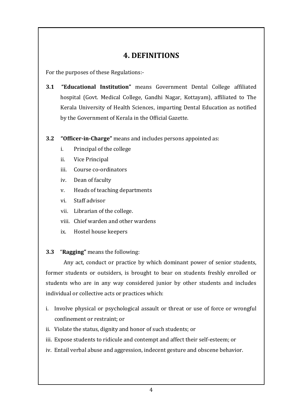## **4. DEFINITIONS**

<span id="page-5-0"></span>For the purposes of these Regulations:-

- **3.1 "Educational Institution"** means Government Dental College affiliated hospital (Govt. Medical College, Gandhi Nagar, Kottayam), affiliated to The Kerala University of Health Sciences, imparting Dental Education as notified by the Government of Kerala in the Official Gazette.
- **3.2 "Officer-in-Charge"** means and includes persons appointed as:
	- i. Principal of the college
	- ii. Vice Principal
	- iii. Course co-ordinators
	- iv. Dean of faculty
	- v. Heads of teaching departments
	- vi. Staff advisor
	- vii. Librarian of the college.
	- viii. Chief warden and other wardens
	- ix. Hostel house keepers

#### **3.3** "**Ragging"** means the following:

Any act, conduct or practice by which dominant power of senior students, former students or outsiders, is brought to bear on students freshly enrolled or students who are in any way considered junior by other students and includes individual or collective acts or practices which:

- i. Involve physical or psychological assault or threat or use of force or wrongful confinement or restraint; or
- ii. Violate the status, dignity and honor of such students; or
- iii. Expose students to ridicule and contempt and affect their self-esteem; or
- iv. Entail verbal abuse and aggression, indecent gesture and obscene behavior.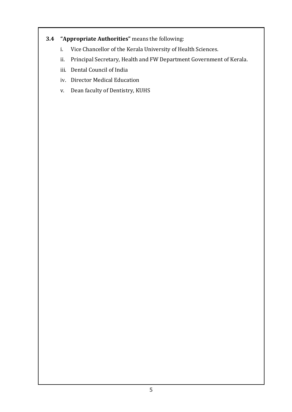### **3.4 "Appropriate Authorities"** means the following:

- i. Vice Chancellor of the Kerala University of Health Sciences.
- ii. Principal Secretary, Health and FW Department Government of Kerala.
- iii. Dental Council of India
- iv. Director Medical Education
- v. Dean faculty of Dentistry, KUHS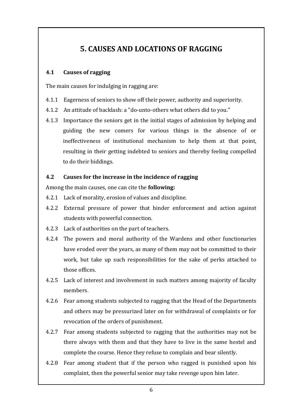# **5. CAUSES AND LOCATIONS OF RAGGING**

#### <span id="page-7-0"></span>**4.1 Causes of ragging**

The main causes for indulging in ragging are:

- 4.1.1 Eagerness of seniors to show off their power, authority and superiority.
- 4.1.2 An attitude of backlash: a "do-unto-others what others did to you."
- 4.1.3 Importance the seniors get in the initial stages of admission by helping and guiding the new comers for various things in the absence of or ineffectiveness of institutional mechanism to help them at that point, resulting in their getting indebted to seniors and thereby feeling compelled to do their biddings.

#### **4.2 Causes for the increase in the incidence of ragging**

Among the main causes, one can cite the **following:**

- 4.2.1 Lack of morality, erosion of values and discipline.
- 4.2.2 External pressure of power that hinder enforcement and action against students with powerful connection.
- 4.2.3 Lack of authorities on the part of teachers.
- 4.2.4 The powers and moral authority of the Wardens and other functionaries have eroded over the years, as many of them may not be committed to their work, but take up such responsibilities for the sake of perks attached to those offices.
- 4.2.5 Lack of interest and involvement in such matters among majority of faculty members.
- 4.2.6 Fear among students subjected to ragging that the Head of the Departments and others may be pressurized later on for withdrawal of complaints or for revocation of the orders of punishment.
- 4.2.7 Fear among students subjected to ragging that the authorities may not be there always with them and that they have to live in the same hostel and complete the course. Hence they refuse to complain and bear silently.
- 4.2.8 Fear among student that if the person who ragged is punished upon his complaint, then the powerful senior may take revenge upon him later.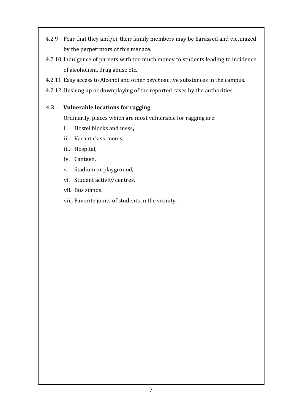- 4.2.9 Fear that they and/or their family members may be harassed and victimized by the perpetrators of this menace.
- 4.2.10 Indulgence of parents with too much money to students leading to incidence of alcoholism, drug abuse etc.
- 4.2.11 Easy access to Alcohol and other psychoactive substances in the campus.
- 4.2.12 Hushing up or downplaying of the reported cases by the authorities.

#### **4.3 Vulnerable locations for ragging**

Ordinarily, places which are most vulnerable for ragging are:

- i. Hostel blocks and mess**,**
- ii. Vacant class rooms.
- iii. Hospital,
- iv. Canteen,
- v. Stadium or playground,
- vi. Student activity centres,
- vii. Bus stands.
- viii. Favorite joints of students in the vicinity.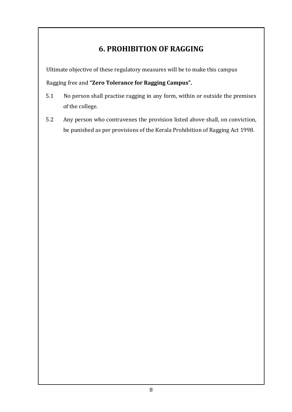# **6. PROHIBITION OF RAGGING**

<span id="page-9-0"></span>Ultimate objective of these regulatory measures will be to make this campus

Ragging free and **"Zero Tolerance for Ragging Campus".**

- 5.1 No person shall practise ragging in any form, within or outside the premises of the college.
- 5.2 Any person who contravenes the provision listed above shall, on conviction, be punished as per provisions of the Kerala Prohibition of Ragging Act 1998.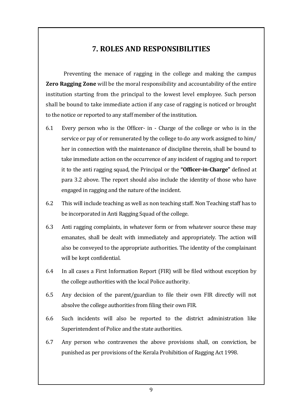## **7. ROLES AND RESPONSIBILITIES**

<span id="page-10-0"></span>Preventing the menace of ragging in the college and making the campus **Zero Ragging Zone** will be the moral responsibility and accountability of the entire institution starting from the principal to the lowest level employee. Such person shall be bound to take immediate action if any case of ragging is noticed or brought to the notice or reported to any staff member of the institution.

- 6.1 Every person who is the Officer- in Charge of the college or who is in the service or pay of or remunerated by the college to do any work assigned to him/ her in connection with the maintenance of discipline therein, shall be bound to take immediate action on the occurrence of any incident of ragging and to report it to the anti ragging squad, the Principal or the **"Officer-in-Charge"** defined at para 3.2 above. The report should also include the identity of those who have engaged in ragging and the nature of the incident.
- 6.2 This will include teaching as well as non teaching staff. Non Teaching staff has to be incorporated in Anti Ragging Squad of the college.
- 6.3 Anti ragging complaints, in whatever form or from whatever source these may emanates, shall be dealt with immediately and appropriately. The action will also be conveyed to the appropriate authorities. The identity of the complainant will be kept confidential.
- 6.4 In all cases a First Information Report (FIR) will be filed without exception by the college authorities with the local Police authority.
- 6.5 Any decision of the parent/guardian to file their own FIR directly will not absolve the college authorities from filing their own FIR.
- 6.6 Such incidents will also be reported to the district administration like Superintendent of Police and the state authorities.
- 6.7 Any person who contravenes the above provisions shall, on conviction, be punished as per provisions of the Kerala Prohibition of Ragging Act 1998.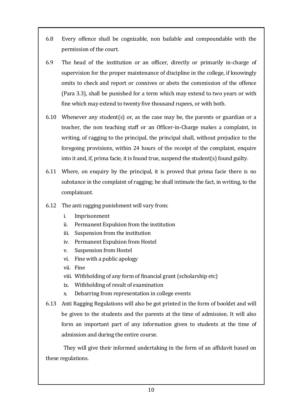- 6.8 Every offence shall be cognizable, non bailable and compoundable with the permission of the court.
- 6.9 The head of the institution or an officer, directly or primarily in-charge of supervision for the proper maintenance of discipline in the college, if knowingly omits to check and report or connives or abets the commission of the offence (Para 3.3), shall be punished for a term which may extend to two years or with fine which may extend to twenty five thousand rupees, or with both.
- 6.10 Whenever any student(s) or, as the case may be, the parents or guardian or a teacher, the non teaching staff or an Officer-in-Charge makes a complaint, in writing, of ragging to the principal, the principal shall, without prejudice to the foregoing provisions, within 24 hours of the receipt of the complaint, enquire into it and, if, prima facie, it is found true, suspend the student $(s)$  found guilty.
- 6.11 Where, on enquiry by the principal, it is proved that prima facie there is no substance in the complaint of ragging; he shall intimate the fact, in writing, to the complainant.
- 6.12 The anti ragging punishment will vary from:
	- i. Imprisonment
	- ii. Permanent Expulsion from the institution
	- iii. Suspension from the institution
	- iv. Permanent Expulsion from Hostel
	- v. Suspension from Hostel
	- vi. Fine with a public apology
	- vii. Fine
	- viii. Withholding of any form of financial grant (scholarship etc)
	- ix. Withholding of result of examination
	- x. Debarring from representation in college events
- 6.13 Anti Ragging Regulations will also be got printed in the form of booklet and will be given to the students and the parents at the time of admission. It will also form an important part of any information given to students at the time of admission and during the entire course.

They will give their informed undertaking in the form of an affidavit based on these regulations.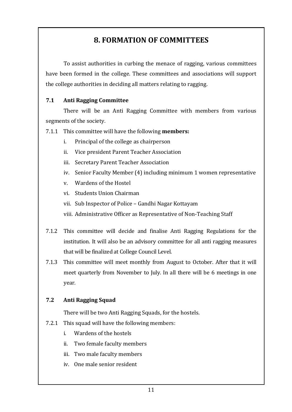## **8. FORMATION OF COMMITTEES**

<span id="page-12-0"></span>To assist authorities in curbing the menace of ragging, various committees have been formed in the college. These committees and associations will support the college authorities in deciding all matters relating to ragging.

#### **7.1 Anti Ragging Committee**

There will be an Anti Ragging Committee with members from various segments of the society.

7.1.1 This committee will have the following **members:**

- i. Principal of the college as chairperson
- ii. Vice president Parent Teacher Association
- iii. Secretary Parent Teacher Association
- iv. Senior Faculty Member (4) including minimum 1 women representative
- v. Wardens of the Hostel
- vi. Students Union Chairman
- vii. Sub Inspector of Police Gandhi Nagar Kottayam
- viii. Administrative Officer as Representative of Non-Teaching Staff
- 7.1.2 This committee will decide and finalise Anti Ragging Regulations for the institution. It will also be an advisory committee for all anti ragging measures that will be finalized at College Council Level.
- 7.1.3 This committee will meet monthly from August to October. After that it will meet quarterly from November to July. In all there will be 6 meetings in one year.

#### **7.2 Anti Ragging Squad**

There will be two Anti Ragging Squads, for the hostels.

- 7.2.1 This squad will have the following members:
	- i. Wardens of the hostels
	- ii. Two female faculty members
	- iii. Two male faculty members
	- iv. One male senior resident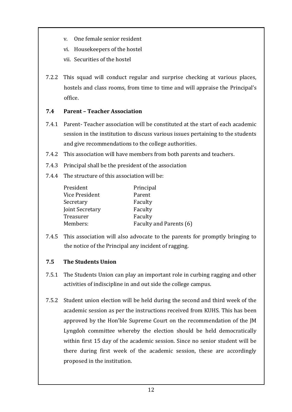- v. One female senior resident
- vi. Housekeepers of the hostel
- vii. Securities of the hostel
- 7.2.2 This squad will conduct regular and surprise checking at various places, hostels and class rooms, from time to time and will appraise the Principal's office.

#### **7.4 Parent – Teacher Association**

- 7.4.1 Parent- Teacher association will be constituted at the start of each academic session in the institution to discuss various issues pertaining to the students and give recommendations to the college authorities.
- 7.4.2 This association will have members from both parents and teachers.
- 7.4.3 Principal shall be the president of the association
- 7.4.4 The structure of this association will be:

| President       | Principal               |
|-----------------|-------------------------|
| Vice President  | Parent                  |
| Secretary       | Faculty                 |
| Joint Secretary | Faculty                 |
| Treasurer       | Faculty                 |
| Members:        | Faculty and Parents (6) |

7.4.5 This association will also advocate to the parents for promptly bringing to the notice of the Principal any incident of ragging.

#### **7.5 The Students Union**

- 7.5.1 The Students Union can play an important role in curbing ragging and other activities of indiscipline in and out side the college campus.
- 7.5.2 Student union election will be held during the second and third week of the academic session as per the instructions received from KUHS. This has been approved by the Hon'ble Supreme Court on the recommendation of the JM Lyngdoh committee whereby the election should be held democratically within first 15 day of the academic session. Since no senior student will be there during first week of the academic session, these are accordingly proposed in the institution.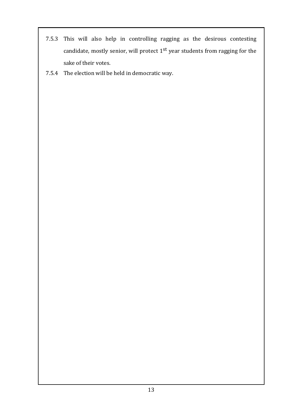- 7.5.3 This will also help in controlling ragging as the desirous contesting candidate, mostly senior, will protect  $1<sup>st</sup>$  year students from ragging for the sake of their votes.
- 7.5.4 The election will be held in democratic way.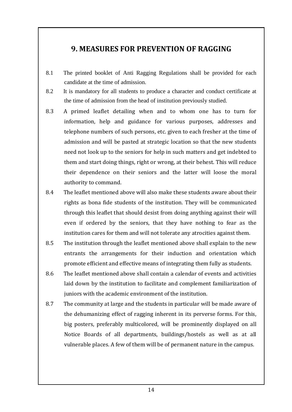## <span id="page-15-0"></span>**9. MEASURES FOR PREVENTION OF RAGGING**

- 8.1 The printed booklet of Anti Ragging Regulations shall be provided for each candidate at the time of admission.
- 8.2 It is mandatory for all students to produce a character and conduct certificate at the time of admission from the head of institution previously studied.
- 8.3 A primed leaflet detailing when and to whom one has to turn for information, help and guidance for various purposes, addresses and telephone numbers of such persons, etc. given to each fresher at the time of admission and will be pasted at strategic location so that the new students need not look up to the seniors for help in such matters and get indebted to them and start doing things, right or wrong, at their behest. This will reduce their dependence on their seniors and the latter will loose the moral authority to command.
- 8.4 The leaflet mentioned above will also make these students aware about their rights as bona fide students of the institution. They will be communicated through this leaflet that should desist from doing anything against their will even if ordered by the seniors, that they have nothing to fear as the institution cares for them and will not tolerate any atrocities against them.
- 8.5 The institution through the leaflet mentioned above shall explain to the new entrants the arrangements for their induction and orientation which promote efficient and effective means of integrating them fully as students.
- 8.6 The leaflet mentioned above shall contain a calendar of events and activities laid down by the institution to facilitate and complement familiarization of juniors with the academic environment of the institution.
- 8.7 The community at large and the students in particular will be made aware of the dehumanizing effect of ragging inherent in its perverse forms. For this, big posters, preferably multicolored, will be prominently displayed on all Notice Boards of all departments, buildings/hostels as well as at all vulnerable places. A few of them will be of permanent nature in the campus.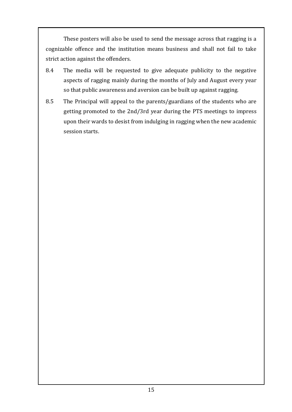These posters will also be used to send the message across that ragging is a cognizable offence and the institution means business and shall not fail to take strict action against the offenders.

- 8.4 The media will be requested to give adequate publicity to the negative aspects of ragging mainly during the months of July and August every year so that public awareness and aversion can be built up against ragging.
- 8.5 The Principal will appeal to the parents/guardians of the students who are getting promoted to the 2nd/3rd year during the PTS meetings to impress upon their wards to desist from indulging in ragging when the new academic session starts.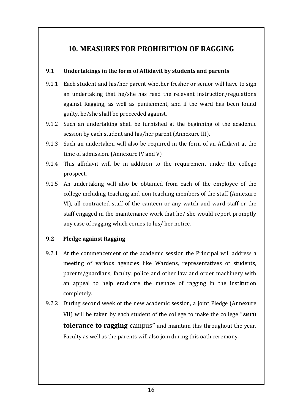## <span id="page-17-0"></span>**10. MEASURES FOR PROHIBITION OF RAGGING**

#### **9.1 Undertakings in the form of Affidavit by students and parents**

- 9.1.1 Each student and his/her parent whether fresher or senior will have to sign an undertaking that he/she has read the relevant instruction/regulations against Ragging, as well as punishment, and if the ward has been found guilty, he/she shall be proceeded against.
- 9.1.2 Such an undertaking shall be furnished at the beginning of the academic session by each student and his/her parent (Annexure III).
- 9.1.3 Such an undertaken will also be required in the form of an Affidavit at the time of admission. (Annexure IV and V)
- 9.1.4 This affidavit will be in addition to the requirement under the college prospect.
- 9.1.5 An undertaking will also be obtained from each of the employee of the college including teaching and non teaching members of the staff (Annexure VI), all contracted staff of the canteen or any watch and ward staff or the staff engaged in the maintenance work that he/ she would report promptly any case of ragging which comes to his/ her notice.

#### **9.2 Pledge against Ragging**

- 9.2.1 At the commencement of the academic session the Principal will address a meeting of various agencies like Wardens, representatives of students, parents/guardians, faculty, police and other law and order machinery with an appeal to help eradicate the menace of ragging in the institution completely.
- 9.2.2 During second week of the new academic session, a joint Pledge (Annexure VII) will be taken by each student of the college to make the college **"zero tolerance to ragging** campus**"** and maintain this throughout the year. Faculty as well as the parents will also join during this oath ceremony.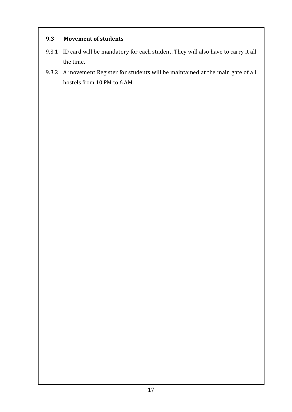#### **9.3 Movement of students**

- 9.3.1 ID card will be mandatory for each student. They will also have to carry it all the time.
- 9.3.2 A movement Register for students will be maintained at the main gate of all hostels from 10 PM to 6 AM.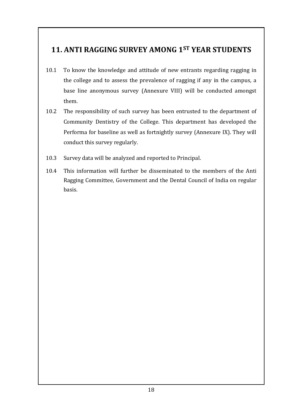# <span id="page-19-0"></span>**11. ANTI RAGGING SURVEY AMONG 1ST YEAR STUDENTS**

- 10.1 To know the knowledge and attitude of new entrants regarding ragging in the college and to assess the prevalence of ragging if any in the campus, a base line anonymous survey (Annexure VIII) will be conducted amongst them.
- 10.2 The responsibility of such survey has been entrusted to the department of Community Dentistry of the College. This department has developed the Performa for baseline as well as fortnightly survey (Annexure IX). They will conduct this survey regularly.
- 10.3 Survey data will be analyzed and reported to Principal.
- 10.4 This information will further be disseminated to the members of the Anti Ragging Committee, Government and the Dental Council of India on regular basis.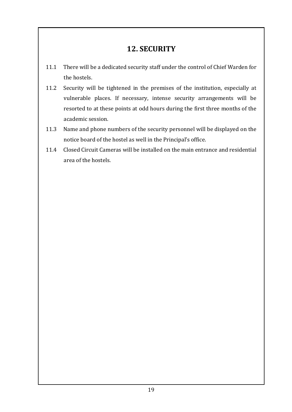## **12. SECURITY**

- <span id="page-20-0"></span>11.1 There will be a dedicated security staff under the control of Chief Warden for the hostels.
- 11.2 Security will be tightened in the premises of the institution, especially at vulnerable places. If necessary, intense security arrangements will be resorted to at these points at odd hours during the first three months of the academic session.
- 11.3 Name and phone numbers of the security personnel will be displayed on the notice board of the hostel as well in the Principal's office.
- 11.4 Closed Circuit Cameras will be installed on the main entrance and residential area of the hostels.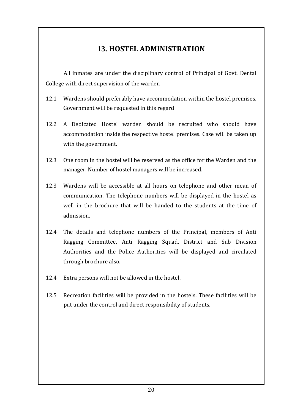## **13. HOSTEL ADMINISTRATION**

<span id="page-21-0"></span>All inmates are under the disciplinary control of Principal of Govt. Dental College with direct supervision of the warden

- 12.1 Wardens should preferably have accommodation within the hostel premises. Government will be requested in this regard
- 12.2 A Dedicated Hostel warden should be recruited who should have accommodation inside the respective hostel premises. Case will be taken up with the government.
- 12.3 One room in the hostel will be reserved as the office for the Warden and the manager. Number of hostel managers will be increased.
- 12.3 Wardens will be accessible at all hours on telephone and other mean of communication. The telephone numbers will be displayed in the hostel as well in the brochure that will be handed to the students at the time of admission.
- 12.4 The details and telephone numbers of the Principal, members of Anti Ragging Committee, Anti Ragging Squad, District and Sub Division Authorities and the Police Authorities will be displayed and circulated through brochure also.
- 12.4 Extra persons will not be allowed in the hostel.
- 12.5 Recreation facilities will be provided in the hostels. These facilities will be put under the control and direct responsibility of students.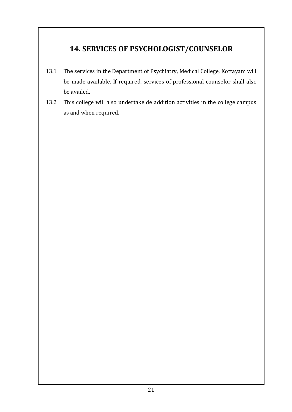# <span id="page-22-0"></span>**14. SERVICES OF PSYCHOLOGIST/COUNSELOR**

- 13.1 The services in the Department of Psychiatry, Medical College, Kottayam will be made available. If required, services of professional counselor shall also be availed.
- 13.2 This college will also undertake de addition activities in the college campus as and when required.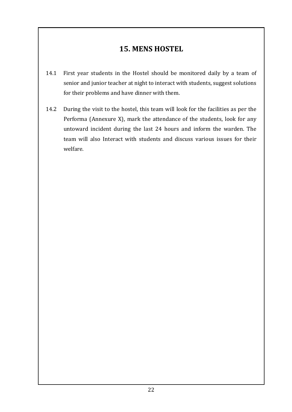## **15. MENS HOSTEL**

- <span id="page-23-0"></span>14.1 First year students in the Hostel should be monitored daily by a team of senior and junior teacher at night to interact with students, suggest solutions for their problems and have dinner with them.
- 14.2 During the visit to the hostel, this team will look for the facilities as per the Performa (Annexure X), mark the attendance of the students, look for any untoward incident during the last 24 hours and inform the warden. The team will also Interact with students and discuss various issues for their welfare.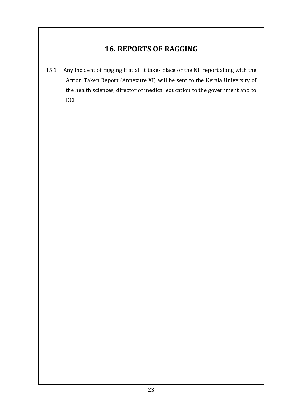# **16. REPORTS OF RAGGING**

<span id="page-24-0"></span>15.1 Any incident of ragging if at all it takes place or the Nil report along with the Action Taken Report (Annexure XI) will be sent to the Kerala University of the health sciences, director of medical education to the government and to DCI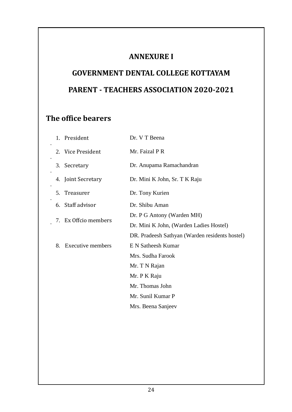## **ANNEXURE I**

# <span id="page-25-1"></span><span id="page-25-0"></span>**GOVERNMENT DENTAL COLLEGE KOTTAYAM PARENT - TEACHERS ASSOCIATION 2020-2021**

# **The office bearers**

|    | 1. President         | Dr. V T Beena                                  |
|----|----------------------|------------------------------------------------|
|    | 2. Vice President    | Mr. Faizal P R                                 |
| 3. | Secretary            | Dr. Anupama Ramachandran                       |
|    | 4. Joint Secretary   | Dr. Mini K John, Sr. T K Raju                  |
| 5. | Treasurer            | Dr. Tony Kurien                                |
|    | 6. Staff advisor     | Dr. Shibu Aman                                 |
|    | 7. Ex Offcio members | Dr. P G Antony (Warden MH)                     |
|    |                      | Dr. Mini K John, (Warden Ladies Hostel)        |
|    |                      | DR. Pradeesh Sathyan (Warden residents hostel) |
| 8. | Executive members    | E N Satheesh Kumar                             |
|    |                      | Mrs. Sudha Farook                              |
|    |                      | Mr. T N Rajan                                  |
|    |                      | Mr. P K Raju                                   |
|    |                      | Mr. Thomas John                                |
|    |                      | Mr. Sunil Kumar P                              |
|    |                      | Mrs. Beena Sanjeev                             |
|    |                      |                                                |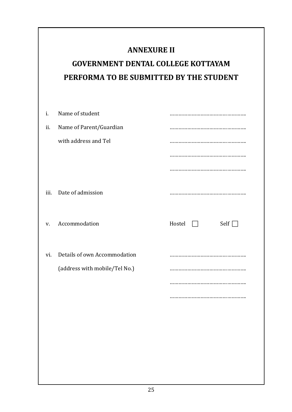## **ANNEXURE II**

# <span id="page-26-1"></span><span id="page-26-0"></span>**GOVERNMENT DENTAL COLLEGE KOTTAYAM PERFORMA TO BE SUBMITTED BY THE STUDENT**

| i.   | Name of student               |                                 |
|------|-------------------------------|---------------------------------|
| ii.  | Name of Parent/Guardian       |                                 |
|      | with address and Tel          |                                 |
|      |                               |                                 |
|      |                               |                                 |
| iii. | Date of admission             |                                 |
| V.   | Accommodation                 | Hostel<br>Self $\Box$<br>$\Box$ |
|      |                               |                                 |
| vi.  | Details of own Accommodation  |                                 |
|      | (address with mobile/Tel No.) |                                 |
|      |                               |                                 |
|      |                               |                                 |
|      |                               |                                 |
|      |                               |                                 |
|      |                               |                                 |
|      |                               |                                 |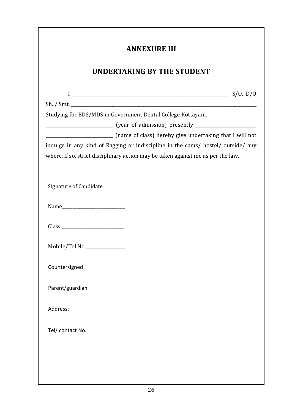<span id="page-27-0"></span>

| <b>ANNEXURE III</b>                                                                                                                                                  |  |
|----------------------------------------------------------------------------------------------------------------------------------------------------------------------|--|
| <b>UNDERTAKING BY THE STUDENT</b>                                                                                                                                    |  |
|                                                                                                                                                                      |  |
|                                                                                                                                                                      |  |
| Studying for BDS/MDS in Government Dental College Kottayam, ____________________                                                                                     |  |
| (name of class) hereby give undertaking that I will not                                                                                                              |  |
| indulge in any kind of Ragging or indiscipline in the cams/ hostel/ outside/ any<br>where. If so, strict disciplinary action may be taken against me as per the law. |  |
| <b>Signature of Candidate</b>                                                                                                                                        |  |
|                                                                                                                                                                      |  |
|                                                                                                                                                                      |  |
| Mobile/Tel No.                                                                                                                                                       |  |
| Countersigned                                                                                                                                                        |  |
| Parent/guardian                                                                                                                                                      |  |
| Address:                                                                                                                                                             |  |
| Tel/ contact No.                                                                                                                                                     |  |
|                                                                                                                                                                      |  |
|                                                                                                                                                                      |  |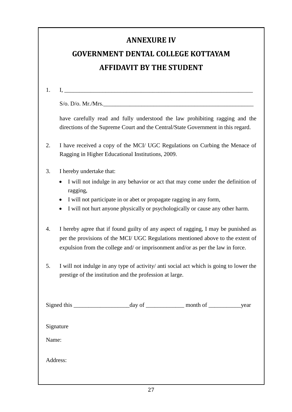## **ANNEXURE IV**

# <span id="page-28-0"></span>**GOVERNMENT DENTAL COLLEGE KOTTAYAM AFFIDAVIT BY THE STUDENT**

 $\rm I.$ 

<span id="page-28-1"></span>

| $\sim$ |  |
|--------|--|

 $S$ /o. D/o. Mr./Mrs.

have carefully read and fully understood the law prohibiting ragging and the directions of the Supreme Court and the Central/State Government in this regard.

2. I have received a copy of the MCI/ UGC Regulations on Curbing the Menace of Ragging in Higher Educational Institutions, 2009.

- 3. I hereby undertake that:
	- I will not indulge in any behavior or act that may come under the definition of ragging,
	- I will not participate in or abet or propagate ragging in any form,
	- I will not hurt anyone physically or psychologically or cause any other harm.
- 4. I hereby agree that if found guilty of any aspect of ragging, I may be punished as per the provisions of the MCI/ UGC Regulations mentioned above to the extent of expulsion from the college and/ or imprisonment and/or as per the law in force.
- 5. I will not indulge in any type of activity/ anti social act which is going to lower the prestige of the institution and the profession at large.

|           | $\equiv$ month of $\equiv$ | _year |
|-----------|----------------------------|-------|
|           |                            |       |
| Signature |                            |       |
| Name:     |                            |       |
|           |                            |       |
| Address:  |                            |       |
|           |                            |       |
|           |                            |       |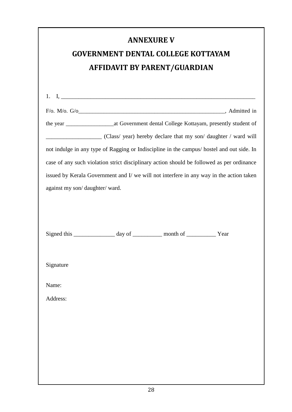<span id="page-29-1"></span><span id="page-29-0"></span>

|                               |                                                                           | <b>ANNEXURE V</b> |                                                                                              |
|-------------------------------|---------------------------------------------------------------------------|-------------------|----------------------------------------------------------------------------------------------|
|                               | <b>GOVERNMENT DENTAL COLLEGE KOTTAYAM</b>                                 |                   |                                                                                              |
|                               | <b>AFFIDAVIT BY PARENT/GUARDIAN</b>                                       |                   |                                                                                              |
|                               |                                                                           |                   |                                                                                              |
|                               |                                                                           |                   |                                                                                              |
|                               |                                                                           |                   | the year ________________________at Government dental College Kottayam, presently student of |
|                               |                                                                           |                   | (Class/ year) hereby declare that my son/ daughter / ward will                               |
|                               |                                                                           |                   | not indulge in any type of Ragging or Indiscipline in the campus/ hostel and out side. In    |
|                               |                                                                           |                   | case of any such violation strict disciplinary action should be followed as per ordinance    |
|                               |                                                                           |                   | issued by Kerala Government and I/ we will not interfere in any way in the action taken      |
| against my son/daughter/ward. |                                                                           |                   |                                                                                              |
|                               |                                                                           |                   |                                                                                              |
|                               |                                                                           |                   |                                                                                              |
|                               |                                                                           |                   |                                                                                              |
|                               |                                                                           |                   |                                                                                              |
|                               | Signed this _______________ day of ___________ month of ____________ Year |                   |                                                                                              |
|                               |                                                                           |                   |                                                                                              |
| Signature                     |                                                                           |                   |                                                                                              |
|                               |                                                                           |                   |                                                                                              |
| Name:                         |                                                                           |                   |                                                                                              |
| Address:                      |                                                                           |                   |                                                                                              |
|                               |                                                                           |                   |                                                                                              |
|                               |                                                                           |                   |                                                                                              |
|                               |                                                                           |                   |                                                                                              |
|                               |                                                                           |                   |                                                                                              |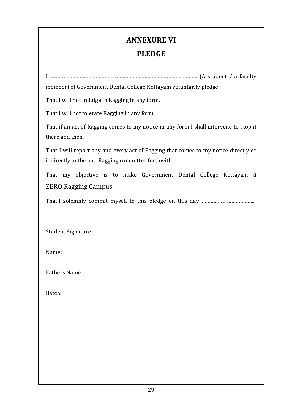# **ANNEXURE VI**

## **PLEDGE**

<span id="page-30-0"></span>I ………………………………………………………………………………………. (A student / a faculty member) of Government Dental College Kottayam voluntarily pledge:

That I will not indulge in Ragging in any form.

That I will not tolerate Ragging in any form.

That if an act of Ragging comes to my notice in any form I shall intervene to stop it there and then.

That I will report any and every act of Ragging that comes to my notice directly or indirectly to the anti Ragging committee forthwith.

That my objective is to make Government Dental College Kottayam a ZERO Ragging Campus.

That I solemnly commit myself to this pledge on this day ………………………………………………………………

Student Signature

Name:

Fathers Name:

Batch: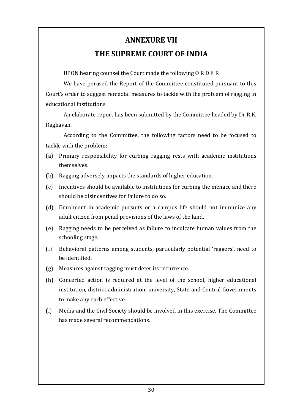# **ANNEXURE VII**

### **THE SUPREME COURT OF INDIA**

<span id="page-31-1"></span><span id="page-31-0"></span>UPON hearing counsel the Court made the following O R D E R

We have perused the Report of the Committee constituted pursuant to this Court's order to suggest remedial measures to tackle with the problem of ragging in educational institutions.

An elaborate report has been submitted by the Committee headed by Dr.R.K. Raghavan.

According to the Committee, the following factors need to be focused to tackle with the problem:

- (a) Primary responsibility for curbing ragging rests with academic institutions themselves.
- (b) Ragging adversely impacts the standards of higher education.
- (c) Incentives should be available to institutions for curbing the menace and there should be disincentives for failure to do so.
- (d) Enrolment in academic pursuits or a campus life should not immunize any adult citizen from penal provisions of the laws of the land.
- (e) Ragging needs to be perceived as failure to inculcate human values from the schooling stage.
- (f) Behavioral patterns among students, particularly potential 'raggers', need to be identified.
- (g) Measures against ragging must deter its recurrence.
- (h) Concerted action is required at the level of the school, higher educational institution, district administration, university, State and Central Governments to make any curb effective.
- (i) Media and the Civil Society should be involved in this exercise. The Committee has made several recommendations.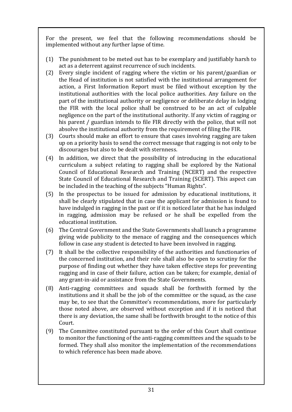For the present, we feel that the following recommendations should be implemented without any further lapse of time.

- (1) The punishment to be meted out has to be exemplary and justifiably harsh to act as a deterrent against recurrence of such incidents.
- (2) Every single incident of ragging where the victim or his parent/guardian or the Head of institution is not satisfied with the institutional arrangement for action, a First Information Report must be filed without exception by the institutional authorities with the local police authorities. Any failure on the part of the institutional authority or negligence or deliberate delay in lodging the FIR with the local police shall be construed to be an act of culpable negligence on the part of the institutional authority. If any victim of ragging or his parent / guardian intends to file FIR directly with the police, that will not absolve the institutional authority from the requirement of filing the FIR.
- (3) Courts should make an effort to ensure that cases involving ragging are taken up on a priority basis to send the correct message that ragging is not only to be discourages but also to be dealt with sternness.
- (4) In addition, we direct that the possibility of introducing in the educational curriculum a subject relating to ragging shall be explored by the National Council of Educational Research and Training (NCERT) and the respective State Council of Educational Research and Training (SCERT). This aspect can be included in the teaching of the subjects "Human Rights".
- (5) In the prospectus to be issued for admission by educational institutions, it shall be clearly stipulated that in case the applicant for admission is found to have indulged in ragging in the past or if it is noticed later that he has indulged in ragging, admission may be refused or he shall be expelled from the educational institution.
- (6) The Central Government and the State Governments shall launch a programme giving wide publicity to the menace of ragging and the consequences which follow in case any student is detected to have been involved in ragging.
- (7) It shall be the collective responsibility of the authorities and functionaries of the concerned institution, and their role shall also be open to scrutiny for the purpose of finding out whether they have taken effective steps for preventing ragging and in case of their failure, action can be taken; for example, denial of any grant-in-aid or assistance from the State Governments.
- (8) Anti-ragging committees and squads shall be forthwith formed by the institutions and it shall be the job of the committee or the squad, as the case may be, to see that the Committee's recommendations, more for particularly those noted above, are observed without exception and if it is noticed that there is any deviation, the same shall be forthwith brought to the notice of this Court.
- (9) The Committee constituted pursuant to the order of this Court shall continue to monitor the functioning of the anti-ragging committees and the squads to be formed. They shall also monitor the implementation of the recommendations to which reference has been made above.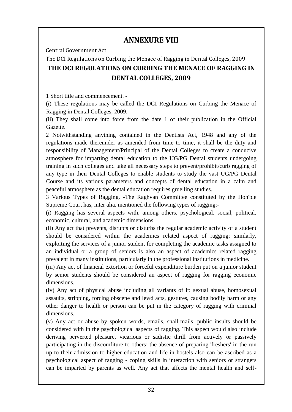## **ANNEXURE VIII**

<span id="page-33-0"></span>Central Government Act

## <span id="page-33-1"></span>The DCI Regulations on Curbing the Menace of Ragging in Dental Colleges, 2009 **THE DCI REGULATIONS ON CURBING THE MENACE OF RAGGING IN DENTAL COLLEGES, 2009**

1 Short title and commencement. -

(i) These regulations may be called the DCI Regulations on Curbing the Menace of Ragging in Dental Colleges, 2009.

(ii) They shall come into force from the date 1 of their publication in the Official Gazette.

2 Notwithstanding anything contained in the Dentists Act, 1948 and any of the regulations made thereunder as amended from time to time, it shall be the duty and responsibility of Management/Principal of the Dental Colleges to create a conducive atmosphere for imparting dental education to the UG/PG Dental students undergoing training in such colleges and take all necessary steps to prevent/prohibit/curb ragging of any type in their Dental Colleges to enable students to study the vast UG/PG Dental Course and its various parameters and concepts of dental education in a calm and peaceful atmosphere as the dental education requires gruelling studies.

3 Various Types of Ragging. -The Raghvan Committee constituted by the Hon'ble Supreme Court has, inter alia, mentioned the following types of ragging:-

(i) Ragging has several aspects with, among others, psychological, social, political, economic, cultural, and academic dimensions.

(ii) Any act that prevents, disrupts or disturbs the regular academic activity of a student should be considered within the academics related aspect of ragging; similarly, exploiting the services of a junior student for completing the academic tasks assigned to an individual or a group of seniors is also an aspect of academics related ragging prevalent in many institutions, particularly in the professional institutions in medicine.

(iii) Any act of financial extortion or forceful expenditure burden put on a junior student by senior students should be considered an aspect of ragging for ragging economic dimensions.

(iv) Any act of physical abuse including all variants of it: sexual abuse, homosexual assaults, stripping, forcing obscene and lewd acts, gestures, causing bodily harm or any other danger to health or person can be put in the category of ragging with criminal dimensions.

(v) Any act or abuse by spoken words, emails, snail-mails, public insults should be considered with in the psychological aspects of ragging. This aspect would also include deriving perverted pleasure, vicarious or sadistic thrill from actively or passively participating in the discomfiture to others; the absence of preparing 'freshers' in the run up to their admission to higher education and life in hostels also can be ascribed as a psychological aspect of ragging - coping skills in interaction with seniors or strangers can be imparted by parents as well. Any act that affects the mental health and self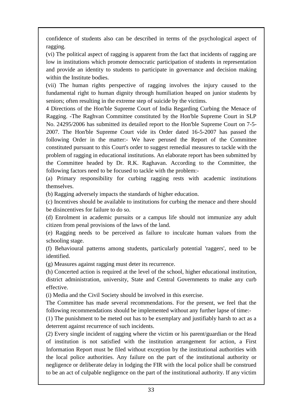confidence of students also can be described in terms of the psychological aspect of ragging.

(vi) The political aspect of ragging is apparent from the fact that incidents of ragging are low in institutions which promote democratic participation of students in representation and provide an identity to students to participate in governance and decision making within the Institute bodies.

(vii) The human rights perspective of ragging involves the injury caused to the fundamental right to human dignity through humiliation heaped on junior students by seniors; often resulting in the extreme step of suicide by the victims.

4 Directions of the Hon'ble Supreme Court of India Regarding Curbing the Menace of Ragging. -The Raghvan Committee constituted by the Hon'ble Supreme Court in SLP No. 24295/2006 has submitted its detailed report to the Hon'ble Supreme Court on 7-5- 2007. The Hon'ble Supreme Court vide its Order dated 16-5-2007 has passed the following Order in the matter:- We have perused the Report of the Committee constituted pursuant to this Court's order to suggest remedial measures to tackle with the problem of ragging in educational institutions. An elaborate report has been submitted by the Committee headed by Dr. R.K. Raghavan. According to the Committee, the following factors need to be focused to tackle with the problem:-

(a) Primary responsibility for curbing ragging rests with academic institutions themselves.

(b) Ragging adversely impacts the standards of higher education.

(c) Incentives should be available to institutions for curbing the menace and there should be disincentives for failure to do so.

(d) Enrolment in academic pursuits or a campus life should not immunize any adult citizen from penal provisions of the laws of the land.

(e) Ragging needs to be perceived as failure to inculcate human values from the schooling stage.

(f) Behavioural patterns among students, particularly potential 'raggers', need to be identified.

(g) Measures against ragging must deter its recurrence.

(h) Concerted action is required at the level of the school, higher educational institution, district administration, university, State and Central Governments to make any curb effective.

(i) Media and the Civil Society should be involved in this exercise.

The Committee has made several recommendations. For the present, we feel that the following recommendations should be implemented without any further lapse of time:-

(1) The punishment to be meted out has to be exemplary and justifiably harsh to act as a deterrent against recurrence of such incidents.

(2) Every single incident of ragging where the victim or his parent/guardian or the Head of institution is not satisfied with the institution arrangement for action, a First Information Report must be filed without exception by the institutional authorities with the local police authorities. Any failure on the part of the institutional authority or negligence or deliberate delay in lodging the FIR with the local police shall be construed to be an act of culpable negligence on the part of the institutional authority. If any victim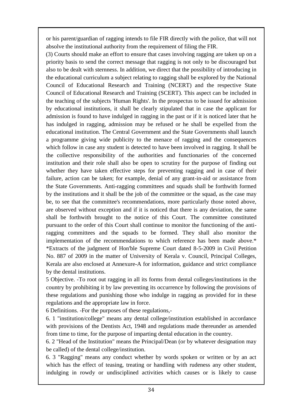or his parent/guardian of ragging intends to file FIR directly with the police, that will not absolve the institutional authority from the requirement of filing the FIR.

(3) Courts should make an effort to ensure that cases involving ragging are taken up on a priority basis to send the correct message that ragging is not only to be discouraged but also to be dealt with sternness. In addition, we direct that the possibility of introducing in the educational curriculum a subject relating to ragging shall be explored by the National Council of Educational Research and Training (NCERT) and the respective State Council of Educational Research and Training (SCERT). This aspect can be included in the teaching of the subjects 'Human Rights'. In the prospectus to be issued for admission by educational institutions, it shall be clearly stipulated that in case the applicant for admission is found to have indulged in ragging in the past or if it is noticed later that he has indulged in ragging, admission may be refused or he shall be expelled from the educational institution. The Central Government and the State Governments shall launch a programme giving wide publicity to the menace of ragging and the consequences which follow in case any student is detected to have been involved in ragging. It shall be the collective responsibility of the authorities and functionaries of the concerned institution and their role shall also be open to scrutiny for the purpose of finding out whether they have taken effective steps for preventing ragging and in case of their failure, action can be taken; for example, denial of any grant-in-aid or assistance from the State Governments. Anti-ragging committees and squads shall be forthwith formed by the institutions and it shall be the job of the committee or the squad, as the case may be, to see that the committee's recommendations, more particularly those noted above, are observed without exception and if it is noticed that there is any deviation, the same shall be forthwith brought to the notice of this Court. The committee constituted pursuant to the order of this Court shall continue to monitor the functioning of the antiragging committees and the squads to be formed. They shall also monitor the implementation of the recommendations to which reference has been made above.\* \*Extracts of the judgment of Hon'ble Supreme Court dated 8-5-2009 in Civil Petition No. 887 of 2009 in the matter of University of Kerala v. Council, Principal Colleges, Kerala are also enclosed at Annexure-A for information, guidance and strict compliance by the dental institutions.

5 Objective. -To root out ragging in all its forms from dental colleges/institutions in the country by prohibiting it by law preventing its occurrence by following the provisions of these regulations and punishing those who indulge in ragging as provided for in these regulations and the appropriate law in force.

6 Definitions. -For the purposes of these regulations,-

6. 1 "institution/college" means any dental college/institution established in accordance with provisions of the Dentists Act, 1948 and regulations made thereunder as amended from time to time, for the purpose of imparting dental education in the country.

6. 2 "Head of the Institution" means the Principal/Dean (or by whatever designation may be called) of the dental college/institution.

6. 3 "Ragging" means any conduct whether by words spoken or written or by an act which has the effect of teasing, treating or handling with rudeness any other student, indulging in rowdy or undisciplined activities which causes or is likely to cause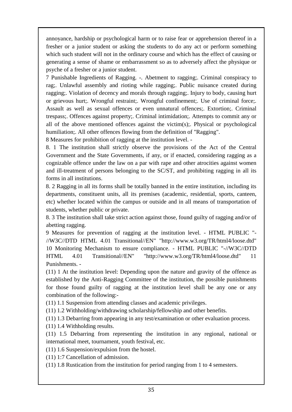annoyance, hardship or psychological harm or to raise fear or apprehension thereof in a fresher or a junior student or asking the students to do any act or perform something which such student will not in the ordinary course and which has the effect of causing or generating a sense of shame or embarrassment so as to adversely affect the physique or psyche of a fresher or a junior student.

7 Punishable Ingredients of Ragging. -. Abetment to ragging;. Criminal conspiracy to rag;. Unlawful assembly and rioting while ragging;. Public nuisance created during ragging;. Violation of decency and morals through ragging;. Injury to body, causing hurt or grievous hurt;. Wrongful restraint;. Wrongful confinement;. Use of criminal force;. Assault as well as sexual offences or even unnatural offences;. Extortion;. Criminal trespass;. Offences against property;. Criminal intimidation;. Attempts to commit any or all of the above mentioned offences against the victim(s);. Physical or psychological humiliation;. All other offences flowing from the definition of "Ragging".

8 Measures for prohibition of ragging at the institution level. -

8. 1 The institution shall strictly observe the provisions of the Act of the Central Government and the State Governments, if any, or if enacted, considering ragging as a cognizable offence under the law on a par with rape and other atrocities against women and ill-treatment of persons belonging to the SC/ST, and prohibiting ragging in all its forms in all institutions.

8. 2 Ragging in all its forms shall be totally banned in the entire institution, including its departments, constituent units, all its premises (academic, residential, sports, canteen, etc) whether located within the campus or outside and in all means of transportation of students, whether public or private.

8. 3 The institution shall take strict action against those, found guilty of ragging and/or of abetting ragging.

9 Measures for prevention of ragging at the institution level. - HTML PUBLIC "- //W3C//DTD HTML 4.01 Transitional//EN" "http://www.w3.org/TR/html4/loose.dtd" 10 Monitoring Mechanism to ensure compliance. - HTML PUBLIC "-//W3C//DTD HTML 4.01 Transitional//EN" "http://www.w3.org/TR/html4/loose.dtd" 11 Punishments. -

(11) 1 At the institution level: Depending upon the nature and gravity of the offence as established by the Anti-Ragging Committee of the institution, the possible punishments for those found guilty of ragging at the institution level shall be any one or any combination of the following:-

(11) 1.1 Suspension from attending classes and academic privileges.

(11) 1.2 Withholding/withdrawing scholarship/fellowship and other benefits.

(11) 1.3 Debarring from appearing in any test/examination or other evaluation process.

(11) 1.4 Withholding results.

(11) 1.5 Debarring from representing the institution in any regional, national or international meet, tournament, youth festival, etc.

(11) 1.6 Suspension/expulsion from the hostel.

(11) 1:7 Cancellation of admission.

(11) 1.8 Rustication from the institution for period ranging from 1 to 4 semesters.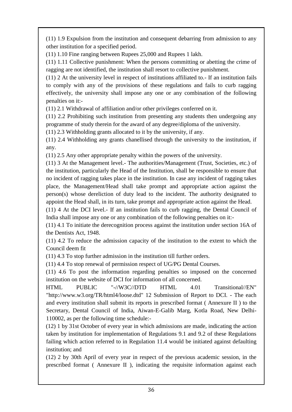(11) 1.9 Expulsion from the institution and consequent debarring from admission to any other institution for a specified period.

(11) 1.10 Fine ranging between Rupees 25,000 and Rupees 1 lakh.

(11) 1.11 Collective punishment: When the persons committing or abetting the crime of ragging are not identified, the institution shall resort to collective punishment.

(11) 2 At the university level in respect of institutions affiliated to.- If an institution fails to comply with any of the provisions of these regulations and fails to curb ragging effectively, the university shall impose any one or any combination of the following penalties on it:-

(11) 2.1 Withdrawal of affiliation and/or other privileges conferred on it.

(11) 2.2 Prohibiting such institution from presenting any students then undergoing any programme of study therein for the award of any degree/diploma of the university.

(11) 2.3 Withholding grants allocated to it by the university, if any.

(11) 2.4 Withholding any grants chanellised through the university to the institution, if any.

(11) 2.5 Any other appropriate penalty within the powers of the university.

(11) 3 At the Management level.- The authorities/Management (Trust, Societies, etc.) of the institution, particularly the Head of the Institution, shall be responsible to ensure that no incident of ragging takes place in the institution. In case any incident of ragging takes place, the Management/Head shall take prompt and appropriate action against the person(s) whose dereliction of duty lead to the incident. The authority designated to appoint the Head shall, in its turn, take prompt and appropriate action against the Head.

(11) 4 At the DCI level.- If an institution fails to curb ragging, the Dental Council of India shall impose any one or any combination of the following penalties on it:-

(11) 4.1 To initiate the derecognition process against the institution under section 16A of the Dentists Act, 1948.

(11) 4.2 To reduce the admission capacity of the institution to the extent to which the Council deem fit

(11) 4.3 To stop further admission in the institution till further orders.

(11) 4.4 To stop renewal of permission respect of UG/PG Dental Courses.

(11) 4.6 To post the information regarding penalties so imposed on the concerned institution on the website of DCI for information of all concerned.

HTML PUBLIC "-//W3C//DTD HTML 4.01 Transitional//EN" "http://www.w3.org/TR/html4/loose.dtd" 12 Submission of Report to DCI. - The each and every institution shall submit its reports in prescribed format ( Annexure II ) to the Secretary, Dental Council of India, Aiwan-E-Galib Marg, Kotla Road, New Delhi-110002, as per the following time schedule:-

(12) 1 by 31st October of every year in which admissions are made, indicating the action taken by institution for implementation of Regulations 9.1 and 9.2 of these Regulations failing which action referred to in Regulation 11.4 would be initiated against defaulting institution; and

(12) 2 by 30th April of every year in respect of the previous academic session, in the prescribed format ( Annexure II ), indicating the requisite information against each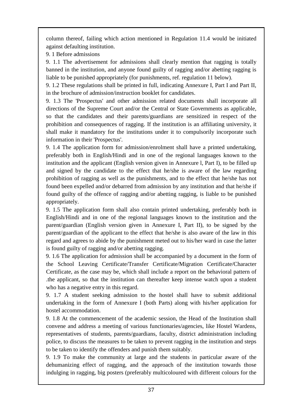column thereof, failing which action mentioned in Regulation 11.4 would be initiated against defaulting institution.

9. 1 Before admissions

9. 1.1 The advertisement for admissions shall clearly mention that ragging is totally banned in the institution, and anyone found guilty of ragging and/or abetting ragging is liable to be punished appropriately (for punishments, ref. regulation 11 below).

9. 1.2 These regulations shall be printed in full, indicating Annexure I, Part I and Part II, in the brochure of admission/instruction booklet for candidates.

9. 1.3 The 'Prospectus' and other admission related documents shall incorporate all directions of the Supreme Court and/or the Central or State Governments as applicable, so that the candidates and their parents/guardians are sensitized in respect of the prohibition and consequences of ragging. If the institution is an affiliating university, it shall make it mandatory for the institutions under it to compulsorily incorporate such information in their 'Prospectus'.

9. 1.4 The application form for admission/enrolment shall have a printed undertaking, preferably both in English/Hindi and in one of the regional languages known to the institution and the applicant (English version given in Annexure l, Part I), to be filled up and signed by the candidate to the effect that he/she is aware of the law regarding prohibition of ragging as well as the punishments, and to the effect that he/she has not found been expelled and/or debarred from admission by any institution and that he/she if found guilty of the offence of ragging and/or abetting ragging, is liable to be punished appropriately.

9. 1.5 The application form shall also contain printed undertaking, preferably both in English/Hindi and in one of the regional languages known to the institution and the parent/guardian (English version given in Annexure I, Part II), to be signed by the parent/guardian of the applicant to the effect that he/she is also aware of the law in this regard and agrees to abide by the punishment meted out to his/her ward in case the latter is found guilty of ragging and/or abetting ragging.

9. 1.6 The application for admission shall be accompanied by a document in the form of the School Leaving Certificate/Transfer Certificate/Migration Certificate/Character Certificate, as the case may be, which shall include a report on the behavioral pattern of .the applicant, so that the institution can thereafter keep intense watch upon a student who has a negative entry in this regard.

9. 1.7 A student seeking admission to the hostel shall have to submit additional undertaking in the form of Annexure I (both Parts) along with his/her application for hostel accommodation.

9. 1.8 At the commencement of the academic session, the Head of the Institution shall convene and address a meeting of various functionaries/agencies, like Hostel Wardens, representatives of students, parents/guardians, faculty, district administration including police, to discuss the measures to be taken to prevent ragging in the institution and steps to be taken to identify the offenders and punish them suitably.

9. 1.9 To make the community at large and the students in particular aware of the dehumanizing effect of ragging, and the approach of the institution towards those indulging in ragging, big posters (preferably multicoloured with different colours for the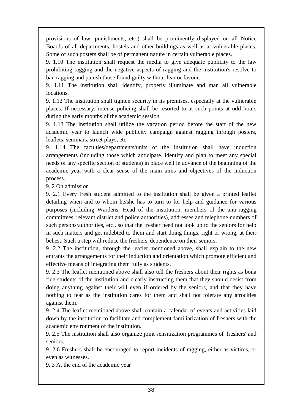provisions of law, punishments, etc.) shall be prominently displayed on all Notice Boards of all departments, hostels and other buildings as well as at vulnerable places. Some of such posters shall be of permanent nature in certain vulnerable places.

9. 1.10 The institution shall request the media to give adequate publicity to the law prohibiting ragging and the negative aspects of ragging and the institution's resolve to ban ragging and punish those found guilty without fear or favour.

9. 1.11 The institution shall identify, properly illuminate and man all vulnerable locations.

9. 1.12 The institution shall tighten security in its premises, especially at the vulnerable places. If necessary, intense policing shall be resorted to at such points at odd hours during the early months of the academic session.

9. 1.13 The institution shall utilize the vacation period before the start of the new academic year to launch wide publicity campaign against ragging through posters, leaflets, seminars, street plays, etc.

9. 1.14 The faculties/departments/units of the institution shall have induction arrangements (including those which anticipate. identify and plan to meet any special needs of any specific section of students) in place well in advance of the beginning of the academic year with a clear sense of the main aims and objectives of the induction process.

9. 2 On admission

9. 2.1 Every fresh student admitted to the institution shall be given a printed leaflet detailing when and to whom he/she has to turn to for help and guidance for various purposes (including Wardens, Head of the institution, members of the anti-ragging committees, relevant district and police authorities), addresses and telephone numbers of such persons/authorities, etc., so that the fresher need not look up to the seniors for help in such matters and get indebted to them and start doing things, right or wrong, at their behest. Such a step will reduce the freshers' dependence on their seniors.

9. 2.2 The institution, through the leaflet mentioned above, shall explain to the new entrants the arrangements for their induction and orientation which promote efficient and effective means of integrating them fully as students.

9. 2.3 The leaflet mentioned above shall also tell the freshers about their rights as bona fide students of the institution and clearly instructing them that they should desist from doing anything against their will even if ordered by the seniors, and that they have nothing to fear as the institution cares for them and shall not tolerate any atrocities against them.

9. 2.4 The leaflet mentioned above shall contain a calendar of events and activities laid down by the institution to facilitate and complement familiarization of freshers with the academic environment of the institution.

9. 2.5 The institution shall also organize joint sensitization programmes of 'freshers' and seniors.

9. 2.6 Freshers shall be encouraged to report incidents of ragging, either as victims, or even as witnesses.

9. 3 At the end of the academic year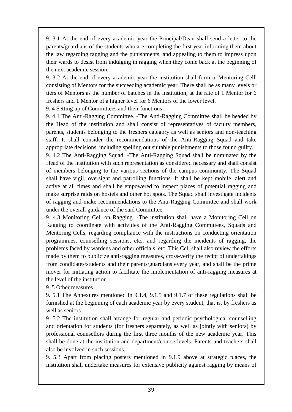9. 3.1 At the end of every academic year the Principal/Dean shall send a letter to the parents/guardians of the students who are completing the first year informing them about the law regarding ragging and the punishments, and appealing to them to impress upon their wards to desist from indulging in ragging when they come back at the beginning of the next academic session.

9. 3.2 At the end of every academic year the institution shall form a 'Mentoring Cell' consisting of Mentors for the succeeding academic year. There shall be as many levels or tiers of Mentors as the number of batches in the institution, at the rate of 1 Mentor for 6 freshers and 1 Mentor of a higher level for 6 Mentors of the lower level.

9. 4 Setting up of Committees and their functions

9. 4.1 The Anti-Ragging Committee. -The Anti-Ragging Committee shall be headed by the Head of the institution and shall consist of representatives of faculty members, parents, students belonging to the freshers category as well as seniors and non-teaching staff. It shall consider the recommendations of the Anti-Ragging Squad and take appropriate decisions, including spelling out suitable punishments to those found guilty.

9. 4.2 The Anti-Ragging Squad. -The Anti-Ragging Squad shall be nominated by the Head of the institution with such representation as considered necessary and shall consist of members belonging to the various sections of the campus community. The Squad shall have vigil, oversight and patrolling functions. It shall be kept mobile, alert and active at all times and shall be empowered to inspect places of potential ragging and make surprise raids on hostels and other hot spots. The Squad shall investigate incidents of ragging and make recommendations to the Anti-Ragging Committee and shall work under the overall guidance of the said Committee.

9. 4.3 Monitoring Cell on Ragging. -The institution shall have a Monitoring Cell on Ragging to coordinate with activities of the Anti-Ragging Committees, Squads and Mentoring Cells, regarding compliance with the instructions on conducting orientation programmes, counselling sessions, etc., and regarding the incidents of ragging, the problems faced by wardens and other officials, etc. This Cell shall also review the efforts made by them to publicize anti-ragging measures, cross-verify the recipt of undertakings from condidates/students and their parents/guardians every year, and shall be the prime mover for initiating action to facilitate the implementation of anti-ragging measures at the level of the institution.

9. 5 Other measures

9. 5.1 The Annexures mentioned in 9.1.4, 9.1.5 and 9.1.7 of these regulations shall be furnished at the beginning of each academic year by every student, that is, by freshers as well as seniors.

9. 5.2 The institution shall arrange for regular and periodic psychological counselling and orientation for students (for freshers separately, as well as jointly with seniors) by professional counsellors during the first three months of the new academic year. This shall be done at the institution and department/course levels. Parents and teachers shall also be involved in such sessions.

9. 5.3 Apart from placing posters mentioned in 9.1.9 above at strategic places, the institution shall undertake measures for extensive publicity against ragging by means of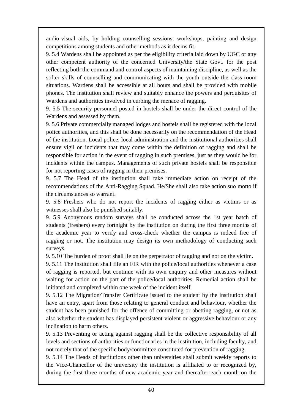audio-visual aids, by holding counselling sessions, workshops, painting and design competitions among students and other methods as it deems fit.

9. 5.4 Wardens shall be appointed as per the eligibility criteria laid down by UGC or any other competent authority of the concerned University/the State Govt. for the post reflecting both the command and control aspects of maintaining discipline, as well as the softer skills of counselling and communicating with the youth outside the class-room situations. Wardens shall be accessible at all hours and shall be provided with mobile phones. The institution shall review and suitably enhance the powers and perquisites of Wardens and authorities involved in curbing the menace of ragging.

9. 5.5 The security personnel posted in hostels shall be under the direct control of the Wardens and assessed by them.

9. 5.6 Private commercially managed lodges and hostels shall be registered with the local police authorities, and this shall be done necessarily on the recommendation of the Head of the institution. Local police, local administration and the institutional authorities shall ensure vigil on incidents that may come within the definition of ragging and shall be responsible for action in the event of ragging in such premises, just as they would be for incidents within the campus. Managements of such private hostels shall be responsible for not reporting cases of ragging in their premises.

9. 5.7 The Head of the institution shall take immediate action on receipt of the recommendations of the Anti-Ragging Squad. He/She shall also take action suo motto if the circumstances so warrant.

9. 5.8 Freshers who do not report the incidents of ragging either as victims or as witnesses shall also be punished suitably.

9. 5.9 Anonymous random surveys shall be conducted across the 1st year batch of students (freshers) every fortnight by the institution on during the first three months of the academic year to verify and cross-check whether the campus is indeed free of ragging or not. The institution may design its own methodology of conducting such surveys.

9. 5.10 The burden of proof shall lie on the perpetrator of ragging and not on the victim.

9. 5.11 The institution shall file an FIR with the police/local authorities whenever a case of ragging is reported, but continue with its own enquiry and other measures without waiting for action on the part of the police/local authorities. Remedial action shall be initiated and completed within one week of the incident itself.

9. 5.12 The Migration/Transfer Certificate issued to the student by the institution shall have an entry, apart from those relating to general conduct and behaviour, whether the student has been punished for the offence of committing or abetting ragging, or not as also whether the student has displayed persistent violent or aggressive behaviour or any inclination to harm others.

9. 5.13 Preventing or acting against ragging shall be the collective responsibility of all levels and sections of authorities or functionaries in the institution, including faculty, and not merely that of the specific body/committee constituted for prevention of ragging.

9. 5.14 The Heads of institutions other than universities shall submit weekly reports to the Vice-Chancellor of the university the institution is affiliated to or recognized by, during the first three months of new academic year and thereafter each month on the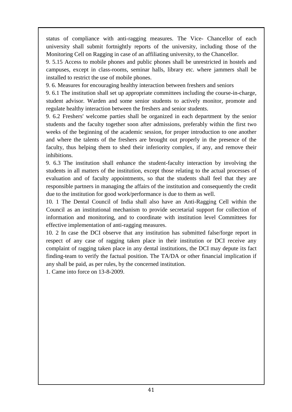status of compliance with anti-ragging measures. The Vice- Chancellor of each university shall submit fortnightly reports of the university, including those of the Monitoring Cell on Ragging in case of an affiliating university, to the Chancellor.

9. 5.15 Access to mobile phones and public phones shall be unrestricted in hostels and campuses, except in class-rooms, seminar halls, library etc. where jammers shall be installed to restrict the use of mobile phones.

9. 6. Measures for encouraging healthy interaction between freshers and seniors

9. 6.1 The institution shall set up appropriate committees including the course-in-charge, student advisor. Warden and some senior students to actively monitor, promote and regulate healthy interaction between the freshers and senior students.

9. 6.2 Freshers' welcome parties shall be organized in each department by the senior students and the faculty together soon after admissions, preferably within the first two weeks of the beginning of the academic session, for proper introduction to one another and where the talents of the freshers are brought out properly in the presence of the faculty, thus helping them to shed their inferiority complex, if any, and remove their inhibitions.

9. 6.3 The institution shall enhance the student-faculty interaction by involving the students in all matters of the institution, except those relating to the actual processes of evaluation and of faculty appointments, so that the students shall feel that they are responsible partners in managing the affairs of the institution and consequently the credit due to the institution for good work/performance is due to them as well.

10. 1 The Dental Council of India shall also have an Anti-Ragging Cell within the Council as an institutional mechanism to provide secretarial support for collection of information and monitoring, and to coordinate with institution level Committees for effective implementation of anti-ragging measures.

10. 2 In case the DCI observe that any institution has submitted false/forge report in respect of any case of ragging taken place in their institution or DCI receive any complaint of ragging taken place in any dental institutions, the DCI may depute its fact finding-team to verify the factual position. The TA/DA or other financial implication if any shall be paid, as per rules, by the concerned institution.

1. Came into force on 13-8-2009.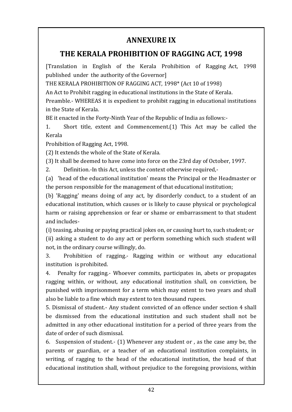## **ANNEXURE IX**

## <span id="page-43-0"></span>**THE KERALA PROHIBITION OF RAGGING ACT, 1998**

[Translation in English of the Kerala Prohibition of Ragging Act, 1998 published under the authority of the Governor]

THE KERALA PROHIBITION OF RAGGING ACT, 1998\* (Act 10 of 1998)

An Act to Prohibit ragging in educational institutions in the State of Kerala.

Preamble.- WHEREAS it is expedient to prohibit ragging in educational institutions in the State of Kerala.

BE it enacted in the Forty-Ninth Year of the Republic of India as follows:-

1. Short title, extent and Commencement.(1) This Act may be called the Kerala

Prohibition of Ragging Act, 1998.

(2) It extends the whole of the State of Kerala.

(3) It shall be deemed to have come into force on the 23rd day of October, 1997.

2. Definition.-In this Act, unless the context otherwise required,-

(a) 'head of the educational institution' means the Principal or the Headmaster or the person responsible for the management of that educational institution;

(b) 'Ragging' means doing of any act, by disorderly conduct, to a student of an educational institution, which causes or is likely to cause physical or psychological harm or raising apprehension or fear or shame or embarrassment to that student and includes-

(i) teasing, abusing or paying practical jokes on, or causing hurt to, such student; or (ii) asking a student to do any act or perform something which such student will not, in the ordinary course willingly, do.

3. Prohibition of ragging.- Ragging within or without any educational institution is prohibited.

4. Penalty for ragging.- Whoever commits, participates in, abets or propagates ragging within, or without, any educational institution shall, on conviction, be punished with imprisonment for a term which may extent to two years and shall also be liable to a fine which may extent to ten thousand rupees.

5. Dismissal of student.- Any student convicted of an offence under section 4 shall be dismissed from the educational institution and such student shall not be admitted in any other educational institution for a period of three years from the date of order of such dismissal.

6. Suspension of student.- (1) Whenever any student or , as the case amy be, the parents or guardian, or a teacher of an educational institution complaints, in writing, of ragging to the head of the educational institution, the head of that educational institution shall, without prejudice to the foregoing provisions, within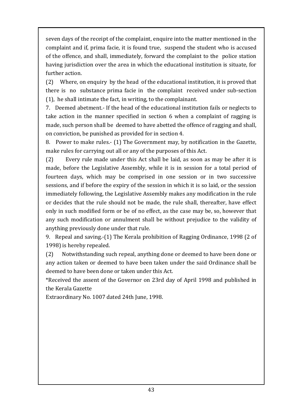seven days of the receipt of the complaint, enquire into the matter mentioned in the complaint and if, prima facie, it is found true, suspend the student who is accused of the offence, and shall, immediately, forward the complaint to the police station having jurisdiction over the area in which the educational institution is situate, for further action.

(2) Where, on enquiry by the head of the educational institution, it is proved that there is no substance prima facie in the complaint received under sub-section (1), he shall intimate the fact, in writing, to the complainant.

7. Deemed abetment.- If the head of the educational institution fails or neglects to take action in the manner specified in section 6 when a complaint of ragging is made, such person shall be deemed to have abetted the offence of ragging and shall, on conviction, be punished as provided for in section 4.

8. Power to make rules.- (1) The Government may, by notification in the Gazette, make rules for carrying out all or any of the purposes of this Act.

(2) Every rule made under this Act shall be laid, as soon as may be after it is made, before the Legislative Assembly, while it is in session for a total period of fourteen days, which may be comprised in one session or in two successive sessions, and if before the expiry of the session in which it is so laid, or the session immediately following, the Legislative Assembly makes any modification in the rule or decides that the rule should not be made, the rule shall, thereafter, have effect only in such modified form or be of no effect, as the case may be, so, however that any such modification or annulment shall be without prejudice to the validity of anything previously done under that rule.

9. Repeal and saving.-(1) The Kerala prohibition of Ragging Ordinance, 1998 (2 of 1998) is hereby repealed.

(2) Notwithstanding such repeal, anything done or deemed to have been done or any action taken or deemed to have been taken under the said Ordinance shall be deemed to have been done or taken under this Act.

\*Received the assent of the Governor on 23rd day of April 1998 and published in the Kerala Gazette

Extraordinary No. 1007 dated 24th June, 1998.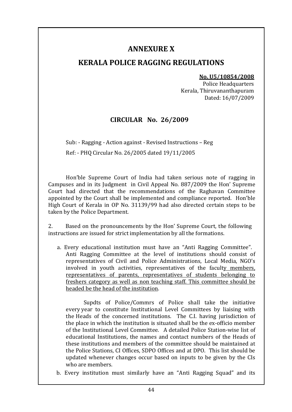### **ANNEXURE X**

### <span id="page-45-1"></span><span id="page-45-0"></span>**KERALA POLICE RAGGING REGULATIONS**

#### **No. U5/10854/2008**

Police Headquarters Kerala, Thiruvananthapuram Dated: 16/07/2009

#### **CIRCULAR No. 26/2009**

Sub: - Ragging - Action against - Revised Instructions – Reg Ref: - PHQ Circular No. 26/2005 dated 19/11/2005

Hon'ble Supreme Court of India had taken serious note of ragging in Campuses and in its Judgment in Civil Appeal No. 887/2009 the Hon' Supreme Court had directed that the recommendations of the Raghavan Committee appointed by the Court shall be implemented and compliance reported. Hon'ble High Court of Kerala in OP No. 31139/99 had also directed certain steps to be taken by the Police Department.

2. Based on the pronouncements by the Hon' Supreme Court, the following instructions are issued for strict implementation by all the formations.

a. Every educational institution must have an "Anti Ragging Committee". Anti Ragging Committee at the level of institutions should consist of representatives of Civil and Police Administrations, Local Media, NGO's involved in youth activities, representatives of the faculty members, representatives of parents, representatives of students belonging to freshers category as well as non teaching staff. This committee should be headed be the head of the institution.

Supdts of Police/Commrs of Police shall take the initiative every year to constitute Institutional Level Committees by liaising with the Heads of the concerned institutions. The C.I. having jurisdiction of the place in which the institution is situated shall be the ex-officio member of the Institutional Level Committee. A detailed Police Station-wise list of educational Institutions, the names and contact numbers of the Heads of these institutions and members of the committee should be maintained at the Police Stations, CI Offices, SDPO Offices and at DPO. This list should be updated whenever changes occur based on inputs to be given by the CIs who are members.

b. Every institution must similarly have an "Anti Ragging Squad" and its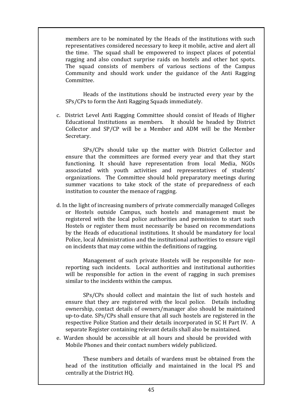members are to be nominated by the Heads of the institutions with such representatives considered necessary to keep it mobile, active and alert all the time. The squad shall be empowered to inspect places of potential ragging and also conduct surprise raids on hostels and other hot spots. The squad consists of members of various sections of the Campus Community and should work under the guidance of the Anti Ragging Committee.

Heads of the institutions should be instructed every year by the SPs/CPs to form the Anti Ragging Squads immediately.

c. District Level Anti Ragging Committee should consist of Heads of Higher Educational Institutions as members. It should be headed by District Collector and SP/CP will be a Member and ADM will be the Member Secretary.

SPs/CPs should take up the matter with District Collector and ensure that the committees are formed every year and that they start functioning. It should have representation from local Media, NGOs associated with youth activities and representatives of students' organizations. The Committee should hold preparatory meetings during summer vacations to take stock of the state of preparedness of each institution to counter the menace of ragging.

d. In the light of increasing numbers of private commercially managed Colleges or Hostels outside Campus, such hostels and management must be registered with the local police authorities and permission to start such Hostels or register them must necessarily be based on recommendations by the Heads of educational institutions. It should be mandatory for local Police, local Administration and the institutional authorities to ensure vigil on incidents that may come within the definitions of ragging.

Management of such private Hostels will be responsible for nonreporting such incidents. Local authorities and institutional authorities will be responsible for action in the event of ragging in such premises similar to the incidents within the campus.

SPs/CPs should collect and maintain the list of such hostels and ensure that they are registered with the local police. Details including ownership, contact details of owners/manager also should be maintained up-to-date. SPs/CPs shall ensure that all such hostels are registered in the respective Police Station and their details incorporated in SC H Part IV. A separate Register containing relevant details shall also be maintained.

e. Warden should be accessible at all hours and should be provided with Mobile Phones and their contact numbers widely publicized.

These numbers and details of wardens must be obtained from the head of the institution officially and maintained in the local PS and centrally at the District HQ.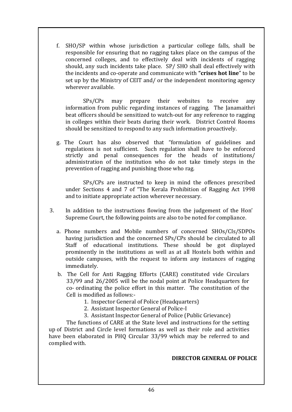f. SHO/SP within whose jurisdiction a particular college falls, shall be responsible for ensuring that no ragging takes place on the campus of the concerned colleges, and to effectively deal with incidents of ragging should, any such incidents take place. SP/ SHO shall deal effectively with the incidents and co-operate and communicate with **"crises hot line**" to be set up by the Ministry of CEIT and/ or the independent monitoring agency wherever available.

SPs/CPs may prepare their websites to receive any information from public regarding instances of ragging. The Janamaithri beat officers should be sensitized to watch-out for any reference to ragging in colleges within their beats during their work. District Control Rooms should be sensitized to respond to any such information proactively.

g. The Court has also observed that "formulation of guidelines and regulations is not sufficient. Such regulation shall have to be enforced strictly and penal consequences for the heads of institutions/ administration of the institution who do not take timely steps in the prevention of ragging and punishing those who rag.

SPs/CPs are instructed to keep in mind the offences prescribed under Sections 4 and 7 of "The Kerala Prohibition of Ragging Act 1998 and to initiate appropriate action wherever necessary.

- 3. In addition to the instructions flowing from the judgement of the Hon' Supreme Court, the following points are also to be noted for compliance.
	- a. Phone numbers and Mobile numbers of concerned SHOs/CIs/SDPOs having jurisdiction and the concerned SPs/CPs should be circulated to all Staff of educational institutions. These should be got displayed prominently in the institutions as well as at all Hostels both within and outside campuses, with the request to inform any instances of ragging immediately.
	- b. The Cell for Anti Ragging Efforts (CARE) constituted vide Circulars 33/99 and 26/2005 will be the nodal point at Police Headquarters for co- ordinating the police effort in this matter. The constitution of the Cell is modified as follows:-
		- 1. Inspector General of Police (Headquarters)
		- 2. Assistant Inspector General of Police-I
		- 3. Assistant Inspector General of Police (Public Grievance)

The functions of CARE at the State level and instructions for the setting up of District and Circle level formations as well as their role and activities have been elaborated in PHQ Circular 33/99 which may be referred to and complied with.

#### **DIRECTOR GENERAL OF POLICE**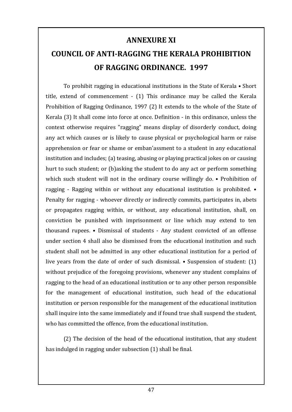### **ANNEXURE XI**

# <span id="page-48-1"></span><span id="page-48-0"></span>**COUNCIL OF ANTI-RAGGING THE KERALA PROHIBITION OF RAGGING ORDINANCE. 1997**

To prohibit ragging in educational institutions in the State of Kerala • Short title, extend of commencement - (1) This ordinance may be called the Kerala Prohibition of Ragging Ordinance, 1997 (2) It extends to the whole of the State of Kerala (3) It shall come into force at once. Definition - in this ordinance, unless the context otherwise requires "ragging" means display of disorderly conduct, doing any act which causes or is likely to cause physical or psychological harm or raise apprehension or fear or shame or emban'assment to a student in any educational institution and includes; (a) teasing, abusing or playing practical jokes on or causing hurt to such student; or (b)asking the student to do any act or perform something which such student will not in the ordinary course willingly do. • Prohibition of ragging - Ragging within or without any educational institution is prohibited. • Penalty for ragging - whoever directly or indirectly commits, participates in, abets or propagates ragging within, or without, any educational institution, shall, on conviction be punished with imprisonment or line which may extend to ten thousand rupees. • Dismissal of students - Any student convicted of an offense under section 4 shall also be dismissed from the educational institution and such student shall not be admitted in any other educational institution for a period of live years from the date of order of such dismissal. • Suspension of student: (1) without prejudice of the foregoing provisions, whenever any student complains of ragging to the head of an educational institution or to any other person responsible for the management of educational institution, such head of the educational institution or person responsible for the management of the educational institution shall inquire into the same immediately and if found true shall suspend the student, who has committed the offence, from the educational institution.

(2) The decision of the head of the educational institution, that any student has indulged in ragging under subsection (1) shall be final.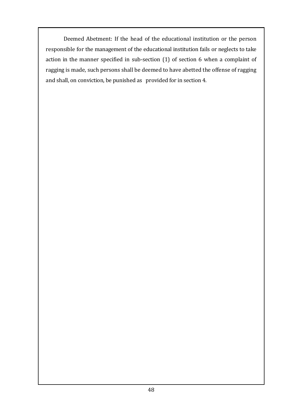Deemed Abetment: If the head of the educational institution or the person responsible for the management of the educational institution fails or neglects to take action in the manner specified in sub-section (1) of section 6 when a complaint of ragging is made, such persons shall be deemed to have abetted the offense of ragging and shall, on conviction, be punished as provided for in section 4.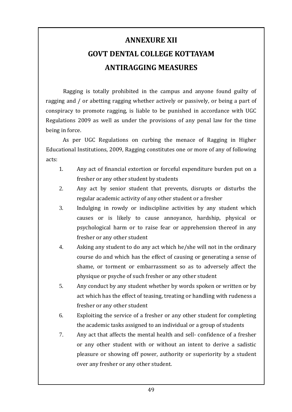# <span id="page-50-0"></span>**ANNEXURE XII GOVT DENTAL COLLEGE KOTTAYAM ANTIRAGGING MEASURES**

<span id="page-50-1"></span>Ragging is totally prohibited in the campus and anyone found guilty of ragging and / or abetting ragging whether actively or passively, or being a part of conspiracy to promote ragging, is liable to be punished in accordance with UGC Regulations 2009 as well as under the provisions of any penal law for the time being in force.

As per UGC Regulations on curbing the menace of Ragging in Higher Educational Institutions, 2009, Ragging constitutes one or more of any of following acts:

- 1. Any act of financial extortion or forceful expenditure burden put on a fresher or any other student by students
- 2. Any act by senior student that prevents, disrupts or disturbs the regular academic activity of any other student or a fresher
- 3. Indulging in rowdy or indiscipline activities by any student which causes or is likely to cause annoyance, hardship, physical or psychological harm or to raise fear or apprehension thereof in any fresher or any other student
- 4. Asking any student to do any act which he/she will not in the ordinary course do and which has the effect of causing or generating a sense of shame, or torment or embarrassment so as to adversely affect the physique or psyche of such fresher or any other student
- 5. Any conduct by any student whether by words spoken or written or by act which has the effect of teasing, treating or handling with rudeness a fresher or any other student
- 6. Exploiting the service of a fresher or any other student for completing the academic tasks assigned to an individual or a group of students
- 7. Any act that affects the mental health and sell- confidence of a fresher or any other student with or without an intent to derive a sadistic pleasure or showing off power, authority or superiority by a student over any fresher or any other student.